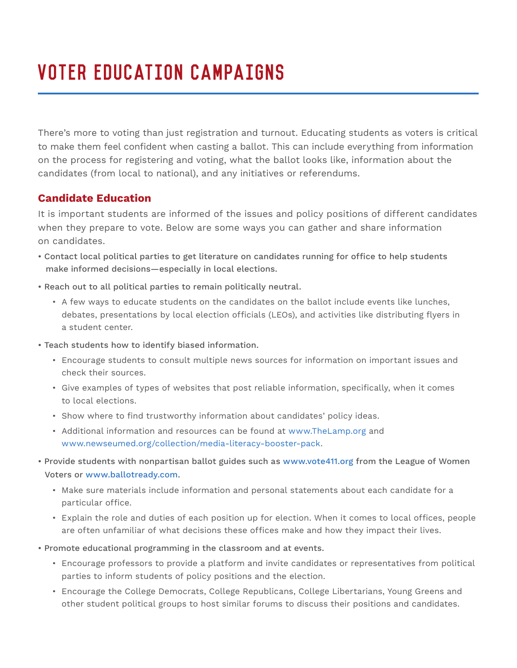## VOTER EDUCATION CAMPAIGNS

There's more to voting than just registration and turnout. Educating students as voters is critical to make them feel confident when casting a ballot. This can include everything from information on the process for registering and voting, what the ballot looks like, information about the candidates (from local to national), and any initiatives or referendums.

## **Candidate Education**

It is important students are informed of the issues and policy positions of different candidates when they prepare to vote. Below are some ways you can gather and share information on candidates.

- Contact local political parties to get literature on candidates running for office to help students make informed decisions—especially in local elections.
- Reach out to all political parties to remain politically neutral.
	- A few ways to educate students on the candidates on the ballot include events like lunches, debates, presentations by local election officials (LEOs), and activities like distributing flyers in a student center.
- Teach students how to identify biased information.
	- Encourage students to consult multiple news sources for information on important issues and check their sources.
	- Give examples of types of websites that post reliable information, specifically, when it comes to local elections.
	- Show where to find trustworthy information about candidates' policy ideas.
	- Additional information and resources can be found at www.TheLamp.org and www.newseumed.org/collection/media-literacy-booster-pack.
- Provide students with nonpartisan ballot guides such as www.vote411.org from the League of Women Voters or www.ballotready.com.
	- Make sure materials include information and personal statements about each candidate for a particular office.
	- Explain the role and duties of each position up for election. When it comes to local offices, people are often unfamiliar of what decisions these offices make and how they impact their lives.
- Promote educational programming in the classroom and at events.
	- Encourage professors to provide a platform and invite candidates or representatives from political parties to inform students of policy positions and the election.
	- Encourage the College Democrats, College Republicans, College Libertarians, Young Greens and other student political groups to host similar forums to discuss their positions and candidates.